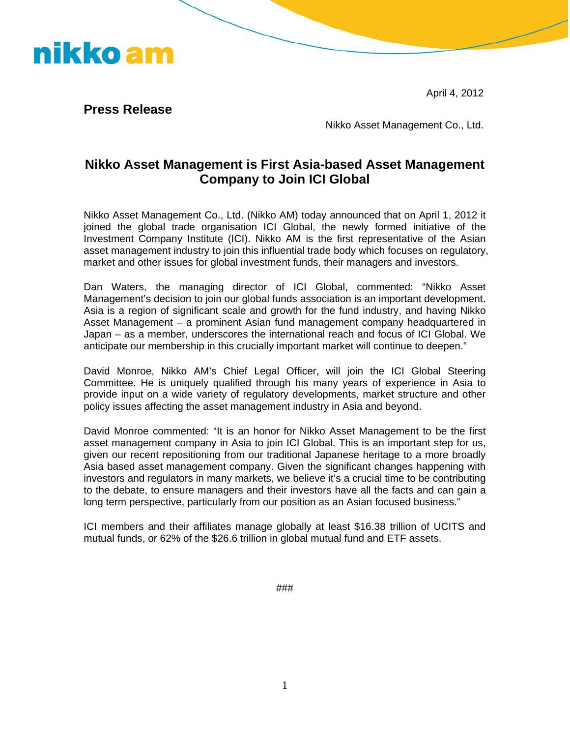April 4, 2012



**Press Release** 

Nikko Asset Management Co., Ltd.

## **Nikko Asset Management is First Asia-based Asset Management Company to Join ICI Global**

Nikko Asset Management Co., Ltd. (Nikko AM) today announced that on April 1, 2012 it joined the global trade organisation ICI Global, the newly formed initiative of the Investment Company Institute (ICI). Nikko AM is the first representative of the Asian asset management industry to join this influential trade body which focuses on regulatory, market and other issues for global investment funds, their managers and investors.

Dan Waters, the managing director of ICI Global, commented: "Nikko Asset Management's decision to join our global funds association is an important development. Asia is a region of significant scale and growth for the fund industry, and having Nikko Asset Management – a prominent Asian fund management company headquartered in Japan – as a member, underscores the international reach and focus of ICI Global. We anticipate our membership in this crucially important market will continue to deepen."

David Monroe, Nikko AM's Chief Legal Officer, will join the ICI Global Steering Committee. He is uniquely qualified through his many years of experience in Asia to provide input on a wide variety of regulatory developments, market structure and other policy issues affecting the asset management industry in Asia and beyond.

David Monroe commented: "It is an honor for Nikko Asset Management to be the first asset management company in Asia to join ICI Global. This is an important step for us, given our recent repositioning from our traditional Japanese heritage to a more broadly Asia based asset management company. Given the significant changes happening with investors and regulators in many markets, we believe it's a crucial time to be contributing to the debate, to ensure managers and their investors have all the facts and can gain a long term perspective, particularly from our position as an Asian focused business."

ICI members and their affiliates manage globally at least \$16.38 trillion of UCITS and mutual funds, or 62% of the \$26.6 trillion in global mutual fund and ETF assets.

###